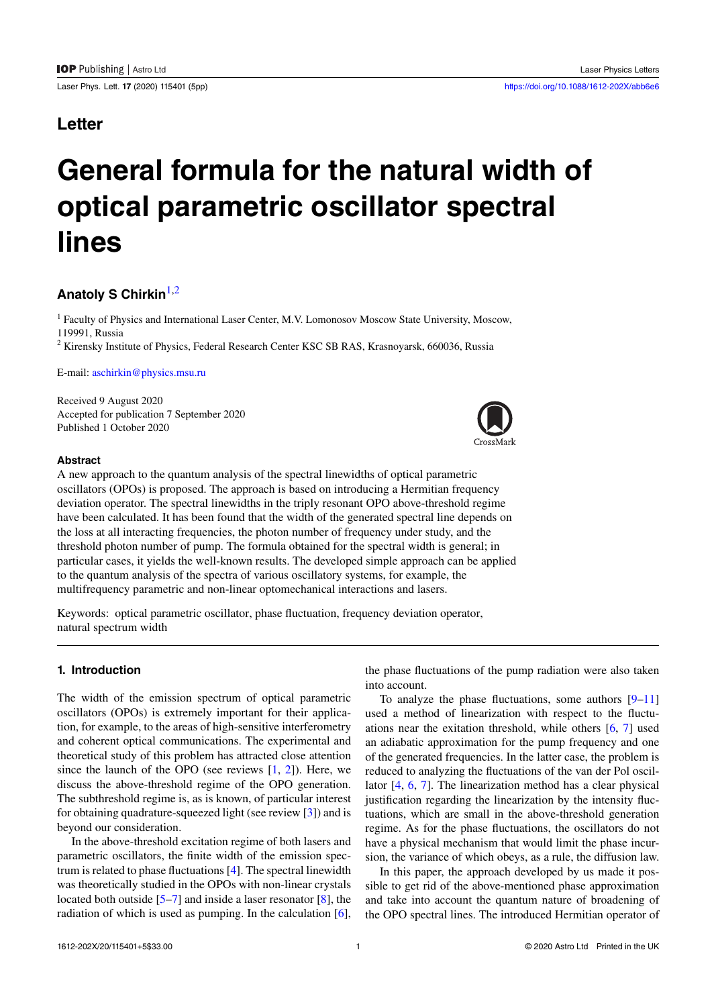# **Letter**

# **General formula for the natural width of optical parametric oscillator spectral lines**

# **Anatoly S Chirkin**[1](#page-0-0),[2](#page-0-1)

<span id="page-0-0"></span><sup>1</sup> Faculty of Physics and International Laser Center, M.V. Lomonosov Moscow State University, Moscow, 119991, Russia

<span id="page-0-1"></span><sup>2</sup> Kirensky Institute of Physics, Federal Research Center KSC SB RAS, Krasnoyarsk, 660036, Russia

E-mail: [aschirkin@physics.msu.ru](mailto:aschirkin@physics.msu.ru)

Received 9 August 2020 Accepted for publication 7 September 2020 Published 1 October 2020

## **Abstract**

A new approach to the quantum analysis of the spectral linewidths of optical parametric oscillators (OPOs) is proposed. The approach is based on introducing a Hermitian frequency deviation operator. The spectral linewidths in the triply resonant OPO above-threshold regime have been calculated. It has been found that the width of the generated spectral line depends on the loss at all interacting frequencies, the photon number of frequency under study, and the threshold photon number of pump. The formula obtained for the spectral width is general; in particular cases, it yields the well-known results. The developed simple approach can be applied to the quantum analysis of the spectra of various oscillatory systems, for example, the multifrequency parametric and non-linear optomechanical interactions and lasers.

Keywords: optical parametric oscillator, phase fluctuation, frequency deviation operator, natural spectrum width

# **1. Introduction**

The width of the emission spectrum of optical parametric oscillators (OPOs) is extremely important for their application, for example, to the areas of high-sensitive interferometry and coherent optical communications. The experimental and theoretical study of this problem has attracted close attention since the launch of the OPO (see reviews  $[1, 2]$  $[1, 2]$ ). Here, we discuss the above-threshold regime of the OPO generation. The subthreshold regime is, as is known, of particular interest for obtaining quadrature-squeezed light (see review[[3\]](#page-3-2)) and is beyond our consideration.

In the above-threshold excitation regime of both lasers and parametric oscillators, the finite width of the emission spectrum is related to phase fluctuations[[4\]](#page-3-3). The spectral linewidth was theoretically studied in the OPOs with non-linear crystals locatedboth outside [[5–](#page-3-4)[7\]](#page-3-5) and inside a laser resonator [\[8](#page-3-6)], the radiation of which is used as pumping. In the calculation[[6\]](#page-3-7), the phase fluctuations of the pump radiation were also taken into account.

To analyze the phase fluctuations, some authors  $[9-11]$ used a method of linearization with respect to the fluctuations near the exitation threshold, while others[[6,](#page-3-7) [7](#page-3-5)] used an adiabatic approximation for the pump frequency and one of the generated frequencies. In the latter case, the problem is reduced to analyzing the fluctuations of the van der Pol oscillator [\[4](#page-3-3), [6](#page-3-7), [7\]](#page-3-5). The linearization method has a clear physical justification regarding the linearization by the intensity fluctuations, which are small in the above-threshold generation regime. As for the phase fluctuations, the oscillators do not have a physical mechanism that would limit the phase incursion, the variance of which obeys, as a rule, the diffusion law.

In this paper, the approach developed by us made it possible to get rid of the above-mentioned phase approximation and take into account the quantum nature of broadening of the OPO spectral lines. The introduced Hermitian operator of

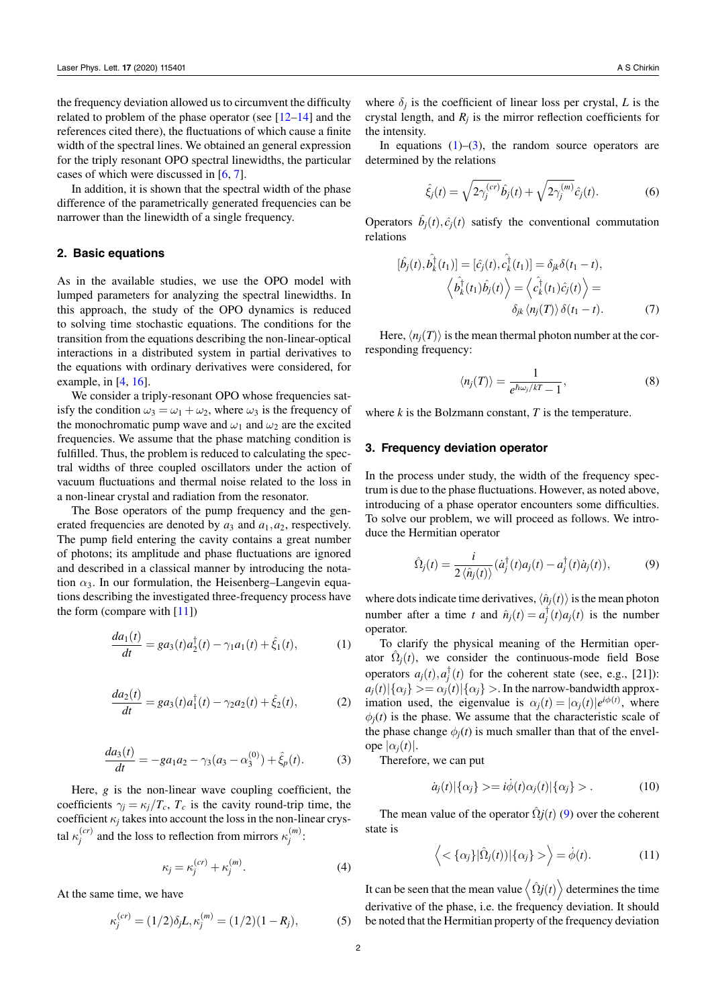the frequency deviation allowed us to circumvent the difficulty related to problem of the phase operator (see [\[12](#page-3-10)[–14](#page-3-11)] and the references cited there), the fluctuations of which cause a finite width of the spectral lines. We obtained an general expression for the triply resonant OPO spectral linewidths, the particular cases of which were discussed in[[6,](#page-3-7) [7\]](#page-3-5).

In addition, it is shown that the spectral width of the phase difference of the parametrically generated frequencies can be narrower than the linewidth of a single frequency.

#### **2. Basic equations**

As in the available studies, we use the OPO model with lumped parameters for analyzing the spectral linewidths. In this approach, the study of the OPO dynamics is reduced to solving time stochastic equations. The conditions for the transition from the equations describing the non-linear-optical interactions in a distributed system in partial derivatives to the equations with ordinary derivatives were considered, for example, in  $[4, 16]$  $[4, 16]$  $[4, 16]$ .

We consider a triply-resonant OPO whose frequencies satisfy the condition  $\omega_3 = \omega_1 + \omega_2$ , where  $\omega_3$  is the frequency of the monochromatic pump wave and  $\omega_1$  and  $\omega_2$  are the excited frequencies. We assume that the phase matching condition is fulfilled. Thus, the problem is reduced to calculating the spectral widths of three coupled oscillators under the action of vacuum fluctuations and thermal noise related to the loss in a non-linear crystal and radiation from the resonator.

The Bose operators of the pump frequency and the generated frequencies are denoted by  $a_3$  and  $a_1$ ,  $a_2$ , respectively. The pump field entering the cavity contains a great number of photons; its amplitude and phase fluctuations are ignored and described in a classical manner by introducing the notation *α*3. In our formulation, the Heisenberg–Langevin equations describing the investigated three-frequency process have the form (compare with  $[11]$ )

<span id="page-1-0"></span>
$$
\frac{da_1(t)}{dt} = ga_3(t)a_2^{\dagger}(t) - \gamma_1 a_1(t) + \hat{\xi}_1(t),
$$
 (1)

$$
\frac{da_2(t)}{dt} = ga_3(t)a_1^{\dagger}(t) - \gamma_2 a_2(t) + \hat{\xi}_2(t),
$$
 (2)

<span id="page-1-1"></span>
$$
\frac{da_3(t)}{dt} = -ga_1a_2 - \gamma_3(a_3 - \alpha_3^{(0)}) + \hat{\xi}_p(t).
$$
 (3)

Here, *g* is the non-linear wave coupling coefficient, the coefficients  $\gamma_i = \kappa_i / T_c$ ,  $T_c$  is the cavity round-trip time, the coefficient  $\kappa_j$  takes into account the loss in the non-linear crystal  $\kappa_j^{(cr)}$  and the loss to reflection from mirrors  $\kappa_j^{(m)}$ :

$$
\kappa_j = \kappa_j^{(cr)} + \kappa_j^{(m)}.
$$
 (4)

At the same time, we have

$$
\kappa_j^{(cr)} = (1/2)\delta_j L, \kappa_j^{(m)} = (1/2)(1 - R_j),\tag{5}
$$

where  $\delta_j$  is the coefficient of linear loss per crystal, *L* is the crystal length, and  $R_j$  is the mirror reflection coefficients for the intensity.

In equations  $(1)$ – $(3)$  $(3)$ , the random source operators are determined by the relations

$$
\hat{\xi}_j(t) = \sqrt{2\gamma_j^{(cr)}} \hat{b}_j(t) + \sqrt{2\gamma_j^{(m)}} \hat{c}_j(t).
$$
 (6)

Operators  $\hat{b}_j(t), \hat{c}_j(t)$  satisfy the conventional commutation relations

$$
[\hat{b}_j(t), \hat{b}_k^{\dagger}(t_1)] = [\hat{c}_j(t), \hat{c}_k^{\dagger}(t_1)] = \delta_{jk}\delta(t_1 - t),
$$
  

$$
\left\langle \hat{b}_k^{\dagger}(t_1)\hat{b}_j(t) \right\rangle = \left\langle \hat{c}_k^{\dagger}(t_1)\hat{c}_j(t) \right\rangle =
$$
  

$$
\delta_{jk} \left\langle n_j(T) \right\rangle \delta(t_1 - t).
$$
 (7)

Here,  $\langle n_i(T) \rangle$  is the mean thermal photon number at the corresponding frequency:

<span id="page-1-3"></span>
$$
\langle n_j(T) \rangle = \frac{1}{e^{\hbar \omega_j / kT} - 1},\tag{8}
$$

where  $k$  is the Bolzmann constant,  $T$  is the temperature.

#### **3. Frequency deviation operator**

In the process under study, the width of the frequency spectrum is due to the phase fluctuations. However, as noted above, introducing of a phase operator encounters some difficulties. To solve our problem, we will proceed as follows. We introduce the Hermitian operator

<span id="page-1-2"></span>
$$
\hat{\Omega}_j(t) = \frac{i}{2 \langle \hat{n}_j(t) \rangle} (\dot{a}_j^{\dagger}(t) a_j(t) - a_j^{\dagger}(t) \dot{a}_j(t)), \tag{9}
$$

where dots indicate time derivatives,  $\langle \hat{n}_i(t) \rangle$  is the mean photon number after a time *t* and  $\hat{n}_j(t) = a_j^{\dagger}(t)a_j(t)$  is the number operator.

To clarify the physical meaning of the Hermitian operator  $\hat{\Omega}_j(t)$ , we consider the continuous-mode field Bose operators  $a_j(t), a_j^{\dagger}(t)$  for the coherent state (see, e.g., [21]):  $a_j(t) | \{ \alpha_j \} > = \alpha_j(t) | \{ \alpha_j \} >$ . In the narrow-bandwidth approximation used, the eigenvalue is  $\alpha_j(t) = |\alpha_j(t)|e^{i\phi(t)}$ , where  $\phi_i(t)$  is the phase. We assume that the characteristic scale of the phase change  $\phi_i(t)$  is much smaller than that of the envel- $| \alpha_i(t) |$ .

Therefore, we can put

$$
\dot{a}_j(t)|\{\alpha_j\} \rangle = i\dot{\phi}(t)\alpha_j(t)|\{\alpha_j\} \rangle. \tag{10}
$$

The mean value of the operator  $\hat{\Omega}$ *j*(*t*) [\(9](#page-1-2)) over the coherent state is

$$
\langle \langle \alpha_j \rangle | \hat{\Omega}_j(t) \rangle | \{\alpha_j\} \rangle = \dot{\phi}(t). \tag{11}
$$

It can be seen that the mean value  $\langle \hat{\Omega} j(t) \rangle$  determines the time derivative of the phase, i.e. the frequency deviation. It should be noted that the Hermitian property of the frequency deviation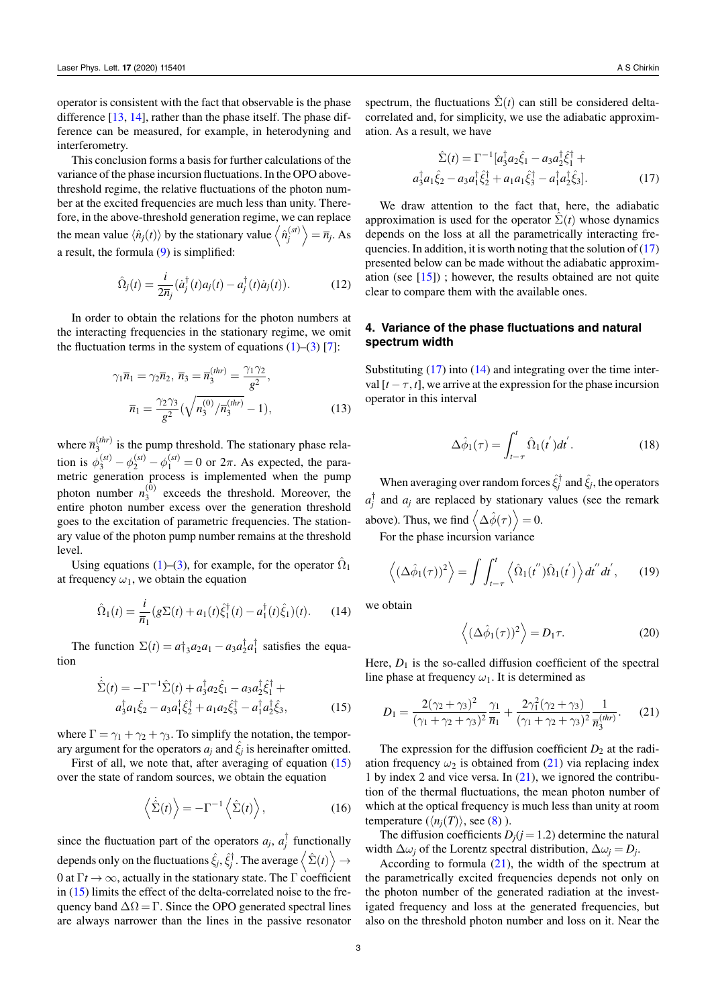operator is consistent with the fact that observable is the phase difference[[13,](#page-3-12) [14\]](#page-3-11), rather than the phase itself. The phase difference can be measured, for example, in heterodyning and interferometry.

This conclusion forms a basis for further calculations of the variance of the phase incursion fluctuations. In the OPO abovethreshold regime, the relative fluctuations of the photon number at the excited frequencies are much less than unity. Therefore, in the above-threshold generation regime, we can replace the mean value  $\langle \hat{n}_j(t) \rangle$  by the stationary value  $\langle \hat{n}_j^{(st)} \rangle$  $\left\langle \right\rangle =\overline{n}_{j}.$  As a result, the formula [\(9](#page-1-2)) is simplified:

$$
\hat{\Omega}_j(t) = \frac{i}{2\overline{n}_j} (\dot{a}_j^\dagger(t)a_j(t) - a_j^\dagger(t)\dot{a}_j(t)).
$$
\n(12)

In order to obtain the relations for the photon numbers at the interacting frequencies in the stationary regime, we omit thefluctuation terms in the system of equations  $(1)$  $(1)$ – $(3)$  $(3)$  [[7\]](#page-3-5):

$$
\gamma_1 \overline{n}_1 = \gamma_2 \overline{n}_2, \ \overline{n}_3 = \overline{n}_3^{(thr)} = \frac{\gamma_1 \gamma_2}{g^2}, \n\overline{n}_1 = \frac{\gamma_2 \gamma_3}{g^2} (\sqrt{n_3^{(0)}/\overline{n}_3^{(thr)}} - 1),
$$
\n(13)

where  $\overline{n}_3^{(thr)}$  $\sum_{3}^{(m)}$  is the pump threshold. The stationary phase relation is  $\phi_3^{(st)} - \phi_2^{(st)} - \phi_1^{(st)} = 0$  or  $2\pi$ . As expected, the parametric generation process is implemented when the pump photon number  $n_3^{(0)}$  $3<sup>(0)</sup>$  exceeds the threshold. Moreover, the entire photon number excess over the generation threshold goes to the excitation of parametric frequencies. The stationary value of the photon pump number remains at the threshold level.

Using equations [\(1](#page-1-0))–[\(3](#page-1-1)), for example, for the operator  $\hat{\Omega}_1$ at frequency  $\omega_1$ , we obtain the equation

$$
\hat{\Omega}_1(t) = \frac{i}{\overline{n}_1} (g \Sigma(t) + a_1(t) \hat{\xi}_1^{\dagger}(t) - a_1^{\dagger}(t) \hat{\xi}_1)(t).
$$
 (14)

The function  $\Sigma(t) = a \dagger_3 a_2 a_1 - a_3 a_2^{\dagger} a_1^{\dagger}$  satisfies the equation

<span id="page-2-0"></span>
$$
\dot{\hat{\Sigma}}(t) = -\Gamma^{-1}\hat{\Sigma}(t) + a_3^{\dagger}a_2\hat{\xi}_1 - a_3a_2^{\dagger}\hat{\xi}_1^{\dagger} + a_3^{\dagger}a_1\hat{\xi}_2 - a_3a_1^{\dagger}\hat{\xi}_2^{\dagger} + a_1a_2\hat{\xi}_3^{\dagger} - a_1^{\dagger}a_2^{\dagger}\hat{\xi}_3, \tag{15}
$$

where  $\Gamma = \gamma_1 + \gamma_2 + \gamma_3$ . To simplify the notation, the temporary argument for the operators  $a_j$  and  $\hat{\xi}_j$  is hereinafter omitted.

First of all, we note that, after averaging of equation [\(15](#page-2-0)) over the state of random sources, we obtain the equation

$$
\left\langle \dot{\hat{\Sigma}}(t) \right\rangle = -\Gamma^{-1} \left\langle \hat{\Sigma}(t) \right\rangle, \tag{16}
$$

since the fluctuation part of the operators  $a_j$ ,  $a_j^{\dagger}$  functionally depends only on the fluctuations  $\hat{\xi}_j, \hat{\xi}_j^\dagger$  . The average  $\left\langle \hat{\Sigma}(t) \right\rangle \rightarrow$ 0 at  $\Gamma t \to \infty$ , actually in the stationary state. The  $\Gamma$  coefficient in [\(15](#page-2-0)) limits the effect of the delta-correlated noise to the frequency band  $\Delta \Omega = \Gamma$ . Since the OPO generated spectral lines are always narrower than the lines in the passive resonator spectrum, the fluctuations  $\hat{\Sigma}(t)$  can still be considered deltacorrelated and, for simplicity, we use the adiabatic approximation. As a result, we have

<span id="page-2-1"></span>
$$
\hat{\Sigma}(t) = \Gamma^{-1} [a_3^{\dagger} a_2 \hat{\xi}_1 - a_3 a_2^{\dagger} \hat{\xi}_1^{\dagger} + a_3^{\dagger} a_1 \hat{\xi}_2 - a_3 a_1^{\dagger} \hat{\xi}_2^{\dagger} + a_1 a_1 \hat{\xi}_3^{\dagger} - a_1^{\dagger} a_2^{\dagger} \hat{\xi}_3].
$$
\n(17)

We draw attention to the fact that, here, the adiabatic approximation is used for the operator  $\Sigma(t)$  whose dynamics depends on the loss at all the parametrically interacting frequencies. In addition, it is worth noting that the solution of [\(17](#page-2-1)) presented below can be made without the adiabatic approxim-ation(see  $[15]$  $[15]$ ); however, the results obtained are not quite clear to compare them with the available ones.

## **4. Variance of the phase fluctuations and natural spectrum width**

Substituting([17\)](#page-2-1) into([14\)](#page-2-2) and integrating over the time interval  $[t - \tau, t]$ , we arrive at the expression for the phase incursion operator in this interval

$$
\Delta \hat{\phi}_1(\tau) = \int_{t-\tau}^t \hat{\Omega}_1(t^{'}) dt^{'}.
$$
 (18)

When averaging over random forces  $\hat{\xi}_j^{\dagger}$  and  $\hat{\xi}_j$ , the operators  $a_j^{\dagger}$  and  $a_j$  are replaced by stationary values (see the remark above). Thus, we find  $\langle \Delta \hat{\phi}(\tau) \rangle = 0$ .

For the phase incursion variance

$$
\left\langle (\Delta \hat{\phi}_1(\tau))^2 \right\rangle = \int \int_{t-\tau}^t \left\langle \hat{\Omega}_1(t^{\prime\prime}) \hat{\Omega}_1(t^{\prime}) \right\rangle dt^{\prime\prime} dt^{\prime}, \qquad (19)
$$

<span id="page-2-2"></span>we obtain

<span id="page-2-3"></span>
$$
\left\langle (\Delta \hat{\phi}_1(\tau))^2 \right\rangle = D_1 \tau. \tag{20}
$$

Here,  $D_1$  is the so-called diffusion coefficient of the spectral line phase at frequency  $\omega_1$ . It is determined as

$$
D_1 = \frac{2(\gamma_2 + \gamma_3)^2}{(\gamma_1 + \gamma_2 + \gamma_3)^2} \frac{\gamma_1}{\overline{n}_1} + \frac{2\gamma_1^2(\gamma_2 + \gamma_3)}{(\gamma_1 + \gamma_2 + \gamma_3)^2} \frac{1}{\overline{n}_3^{(thr)}}.
$$
 (21)

The expression for the diffusion coefficient  $D_2$  at the radiationfrequency  $\omega_2$  is obtained from ([21\)](#page-2-3) via replacing index 1 by index 2 and vice versa. In  $(21)$ , we ignored the contribution of the thermal fluctuations, the mean photon number of which at the optical frequency is much less than unity at room temperature  $(\langle n_i(T) \rangle)$ , see [\(8](#page-1-3)) ).

The diffusion coefficients  $D_i$  ( $j = 1.2$ ) determine the natural width  $\Delta\omega_j$  of the Lorentz spectral distribution,  $\Delta\omega_j = D_j$ .

According to formula([21\)](#page-2-3), the width of the spectrum at the parametrically excited frequencies depends not only on the photon number of the generated radiation at the investigated frequency and loss at the generated frequencies, but also on the threshold photon number and loss on it. Near the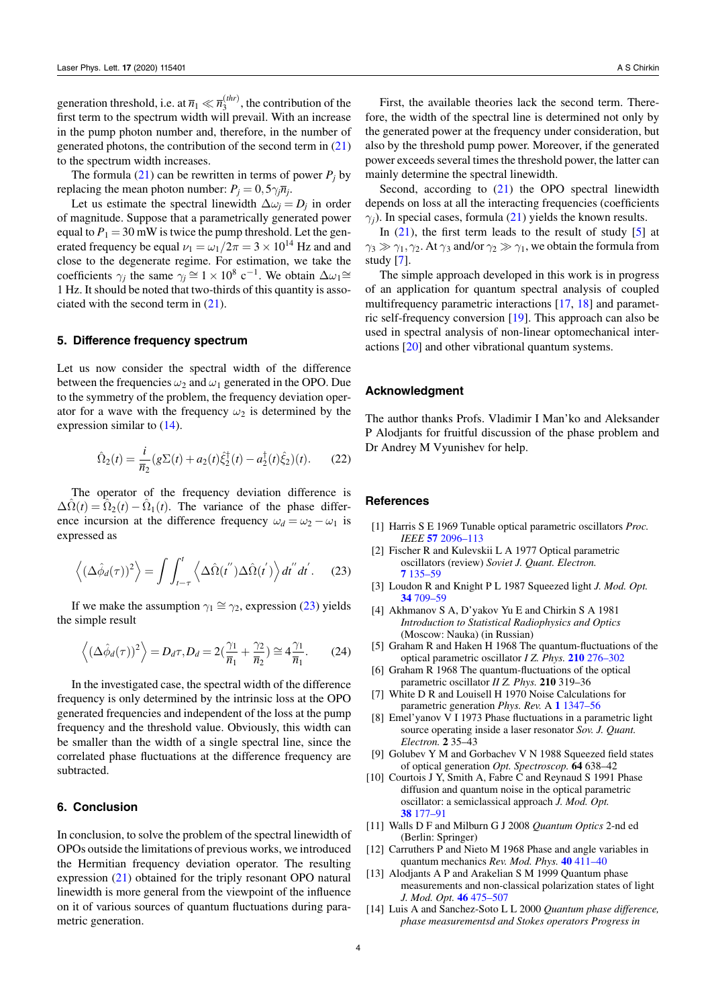generation threshold, i.e. at  $\overline{n}_1 \ll \overline{n}_3^{(thr)}$  $3^{(m)}$ , the contribution of the first term to the spectrum width will prevail. With an increase in the pump photon number and, therefore, in the number of generated photons, the contribution of the second term in  $(21)$ to the spectrum width increases.

Theformula  $(21)$  $(21)$  can be rewritten in terms of power  $P_i$  by replacing the mean photon number:  $P_j = 0, 5\gamma_j \overline{n}_j$ .

Let us estimate the spectral linewidth  $\Delta \omega_j = D_j$  in order of magnitude. Suppose that a parametrically generated power equal to  $P_1 = 30$  mW is twice the pump threshold. Let the generated frequency be equal  $\nu_1 = \omega_1/2\pi = 3 \times 10^{14}$  Hz and and close to the degenerate regime. For estimation, we take the coefficients  $\gamma_j$  the same  $\gamma_j \cong 1 \times 10^8$  c<sup>-1</sup>. We obtain  $\Delta \omega_1 \cong$ 1 Hz. It should be noted that two-thirds of this quantity is associated with the second term in([21\)](#page-2-3).

## **5. Difference frequency spectrum**

Let us now consider the spectral width of the difference between the frequencies  $\omega_2$  and  $\omega_1$  generated in the OPO. Due to the symmetry of the problem, the frequency deviation operator for a wave with the frequency  $\omega_2$  is determined by the expression similar to([14\)](#page-2-2).

$$
\hat{\Omega}_2(t) = \frac{i}{\bar{n}_2} (g \Sigma(t) + a_2(t) \hat{\xi}_2^{\dagger}(t) - a_2^{\dagger}(t) \hat{\xi}_2)(t).
$$
 (22)

The operator of the frequency deviation difference is  $\Delta \hat{\Omega}(t) = \hat{\Omega}_2(t) - \hat{\Omega}_1(t)$ . The variance of the phase difference incursion at the difference frequency  $\omega_d = \omega_2 - \omega_1$  is expressed as

<span id="page-3-13"></span>
$$
\left\langle (\Delta \hat{\phi}_d(\tau))^2 \right\rangle = \int \int_{t-\tau}^t \left\langle \Delta \hat{\Omega}(t^{''}) \Delta \hat{\Omega}(t^{'}) \right\rangle dt^{''} dt^{'}.
$$
 (23)

Ifwe make the assumption  $\gamma_1 \cong \gamma_2$ , expression ([23\)](#page-3-13) yields the simple result

$$
\left\langle (\Delta \hat{\phi}_d(\tau))^2 \right\rangle = D_d \tau, D_d = 2(\frac{\gamma_1}{\overline{n}_1} + \frac{\gamma_2}{\overline{n}_2}) \cong 4 \frac{\gamma_1}{\overline{n}_1}.
$$
 (24)

In the investigated case, the spectral width of the difference frequency is only determined by the intrinsic loss at the OPO generated frequencies and independent of the loss at the pump frequency and the threshold value. Obviously, this width can be smaller than the width of a single spectral line, since the correlated phase fluctuations at the difference frequency are subtracted.

#### **6. Conclusion**

In conclusion, to solve the problem of the spectral linewidth of OPOs outside the limitations of previous works, we introduced the Hermitian frequency deviation operator. The resulting expression([21\)](#page-2-3) obtained for the triply resonant OPO natural linewidth is more general from the viewpoint of the influence on it of various sources of quantum fluctuations during parametric generation.

First, the available theories lack the second term. Therefore, the width of the spectral line is determined not only by the generated power at the frequency under consideration, but also by the threshold pump power. Moreover, if the generated power exceeds several times the threshold power, the latter can mainly determine the spectral linewidth.

Second,according to  $(21)$  $(21)$  the OPO spectral linewidth depends on loss at all the interacting frequencies (coefficients  $\gamma_i$ ).In special cases, formula ([21\)](#page-2-3) yields the known results.

In $(21)$ , the first term leads to the result of study  $[5]$  $[5]$  at  $\gamma_3 \gg \gamma_1, \gamma_2$ . At  $\gamma_3$  and/or  $\gamma_2 \gg \gamma_1$ , we obtain the formula from study [\[7](#page-3-5)].

The simple approach developed in this work is in progress of an application for quantum spectral analysis of coupled multifrequency parametric interactions [\[17](#page-4-2), [18\]](#page-4-3) and parametric self-frequency conversion [\[19](#page-4-4)]. This approach can also be used in spectral analysis of non-linear optomechanical interactions[[20\]](#page-4-5) and other vibrational quantum systems.

#### **Acknowledgment**

The author thanks Profs. Vladimir I Man'ko and Aleksander P Alodjants for fruitful discussion of the phase problem and Dr Andrey M Vyunishev for help.

#### **References**

- <span id="page-3-0"></span>[1] Harris S E 1969 Tunable optical parametric oscillators *Proc. IEEE* **[57](https://doi.org/10.1109/PROC.1969.7495)** [2096–113](https://doi.org/10.1109/PROC.1969.7495)
- <span id="page-3-1"></span>[2] Fischer R and Kulevskii L A 1977 Optical parametric oscillators (review) *Soviet J. Quant. Electron.* **[7](https://doi.org/10.1070/QE1977v007n02ABEH008850)** [135–59](https://doi.org/10.1070/QE1977v007n02ABEH008850)
- <span id="page-3-2"></span>[3] Loudon R and Knight P L 1987 Squeezed light *J. Mod. Opt.* **[34](https://doi.org/10.1080/09500348714550721)** [709–59](https://doi.org/10.1080/09500348714550721)
- <span id="page-3-3"></span>[4] Akhmanov S A, D'yakov Yu E and Chirkin S A 1981 *Introduction to Statistical Radiophysics and Optics* (Moscow: Nauka) (in Russian)
- <span id="page-3-4"></span>[5] Graham R and Haken H 1968 The quantum-fluctuations of the optical parametric oscillator *I Z. Phys.* **[210](https://doi.org/10.1007/BF01379946)** [276–302](https://doi.org/10.1007/BF01379946)
- <span id="page-3-7"></span>[6] Graham R 1968 The quantum-fluctuations of the optical parametric oscillator *II Z. Phys.* **210** 319–36
- <span id="page-3-5"></span>[7] White D R and Louisell H 1970 Noise Calculations for parametric generation *Phys. Rev.* A **[1](https://doi.org/10.1103/PhysRevA.1.1347)** [1347–56](https://doi.org/10.1103/PhysRevA.1.1347)
- <span id="page-3-6"></span>[8] Emel'yanov V I 1973 Phase fluctuations in a parametric light source operating inside a laser resonator *Sov. J. Quant. Electron.* **2** 35–43
- <span id="page-3-8"></span>[9] Golubev Y M and Gorbachev V N 1988 Squeezed field states of optical generation *Opt. Spectroscop.* **64** 638–42
- [10] Courtois J Y, Smith A, Fabre C and Reynaud S 1991 Phase diffusion and quantum noise in the optical parametric oscillator: a semiclassical approach *J. Mod. Opt.* **[38](https://doi.org/10.1080/09500349114550201)** [177–91](https://doi.org/10.1080/09500349114550201)
- <span id="page-3-9"></span>[11] Walls D F and Milburn G J 2008 *Quantum Optics* 2-nd ed (Berlin: Springer)
- <span id="page-3-10"></span>[12] Carruthers P and Nieto M 1968 Phase and angle variables in quantum mechanics *Rev. Mod. Phys.* **[40](https://doi.org/10.1103/RevModPhys.40.411)** [411–40](https://doi.org/10.1103/RevModPhys.40.411)
- <span id="page-3-12"></span>[13] Alodjants A P and Arakelian S M 1999 Quantum phase measurements and non-classical polarization states of light *J. Mod. Opt.* **[46](https://doi.org/10.1080/09500349908231279)** [475–507](https://doi.org/10.1080/09500349908231279)
- <span id="page-3-11"></span>[14] Luis A and Sanchez-Soto L L 2000 *Quantum phase difference, phase measurementsd and Stokes operators Progress in*